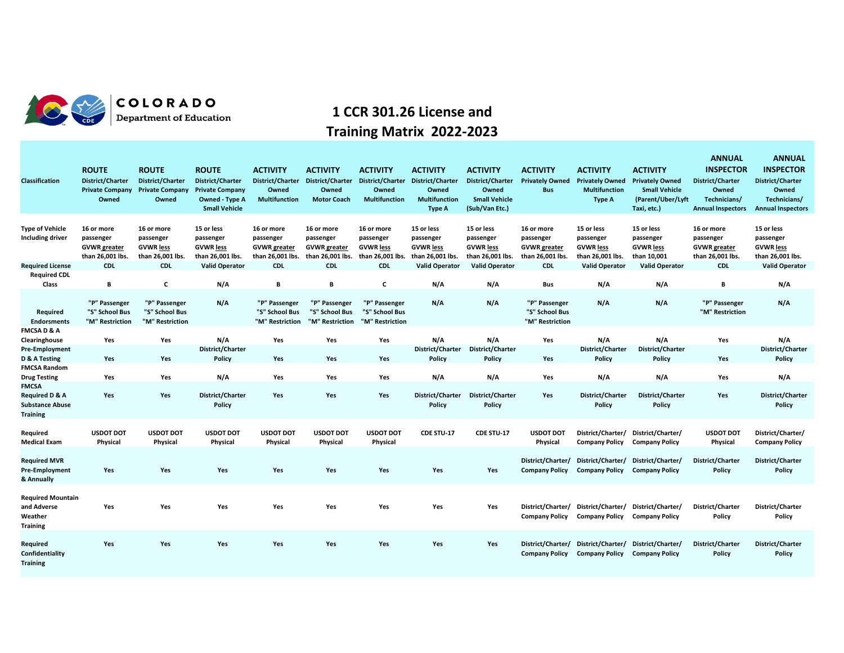

## COLORADO<br>Department of Education

## **1 CCR 301.26 License and Training Matrix 2022-2023**

| Classification                                                                         | <b>ROUTE</b><br>District/Charter<br><b>Private Company</b><br>Owned | <b>ROUTE</b><br>District/Charter<br><b>Private Company</b><br>Owned | <b>ROUTE</b><br>District/Charter<br><b>Private Company</b><br><b>Owned - Type A</b><br><b>Small Vehicle</b> | <b>ACTIVITY</b><br>Owned<br><b>Multifunction</b>                   | <b>ACTIVITY</b><br>District/Charter District/Charter<br>Owned<br><b>Motor Coach</b> | <b>ACTIVITY</b><br>Owned<br><b>Multifunction</b>                | <b>ACTIVITY</b><br>District/Charter District/Charter<br>Owned<br><b>Multifunction</b><br><b>Type A</b> | <b>ACTIVITY</b><br>District/Charter<br>Owned<br><b>Small Vehicle</b><br>(Sub/Van Etc.) | <b>ACTIVITY</b><br><b>Privately Owned</b><br><b>Bus</b>            | <b>ACTIVITY</b><br><b>Privately Owned</b><br><b>Multifunction</b><br><b>Type A</b> | <b>ACTIVITY</b><br><b>Privately Owned</b><br><b>Small Vehicle</b><br>(Parent/Uber/Lyft<br>Taxi, etc.) | <b>ANNUAL</b><br><b>INSPECTOR</b><br><b>District/Charter</b><br>Owned<br>Technicians/<br><b>Annual Inspectors</b> | <b>ANNUAL</b><br><b>INSPECTOR</b><br><b>District/Charter</b><br>Owned<br>Technicians/<br><b>Annual Inspectors</b> |
|----------------------------------------------------------------------------------------|---------------------------------------------------------------------|---------------------------------------------------------------------|-------------------------------------------------------------------------------------------------------------|--------------------------------------------------------------------|-------------------------------------------------------------------------------------|-----------------------------------------------------------------|--------------------------------------------------------------------------------------------------------|----------------------------------------------------------------------------------------|--------------------------------------------------------------------|------------------------------------------------------------------------------------|-------------------------------------------------------------------------------------------------------|-------------------------------------------------------------------------------------------------------------------|-------------------------------------------------------------------------------------------------------------------|
| <b>Type of Vehicle</b><br>Including driver                                             | 16 or more<br>passenger<br><b>GVWR</b> greater<br>than 26,001 lbs.  | 16 or more<br>passenger<br><b>GVWR</b> less<br>than 26,001 lbs.     | 15 or less<br>passenger<br><b>GVWR less</b><br>than 26,001 lbs.                                             | 16 or more<br>passenger<br><b>GVWR</b> greater<br>than 26,001 lbs. | 16 or more<br>passenger<br><b>GVWR</b> greater<br>than 26,001 lbs.                  | 16 or more<br>passenger<br><b>GVWR less</b><br>than 26,001 lbs. | 15 or less<br>passenger<br><b>GVWR less</b><br>than 26,001 lbs.                                        | 15 or less<br>passenger<br><b>GVWR less</b><br>than 26,001 lbs.                        | 16 or more<br>passenger<br><b>GVWR</b> greater<br>than 26,001 lbs. | 15 or less<br>passenger<br><b>GVWR less</b><br>than 26,001 lbs.                    | 15 or less<br>passenger<br><b>GVWR less</b><br>than 10,001                                            | 16 or more<br>passenger<br><b>GVWR</b> greater<br>than 26,001 lbs.                                                | 15 or less<br>passenger<br><b>GVWR less</b><br>than 26,001 lbs.                                                   |
| <b>Required License</b><br><b>Required CDL</b>                                         | <b>CDL</b>                                                          | <b>CDL</b>                                                          | <b>Valid Operator</b>                                                                                       | <b>CDL</b>                                                         | <b>CDL</b>                                                                          | <b>CDL</b>                                                      | <b>Valid Operator</b>                                                                                  | <b>Valid Operator</b>                                                                  | <b>CDL</b>                                                         | <b>Valid Operator</b>                                                              | <b>Valid Operator</b>                                                                                 | <b>CDL</b>                                                                                                        | <b>Valid Operator</b>                                                                                             |
| Class                                                                                  | B                                                                   | C                                                                   | N/A                                                                                                         | В                                                                  | В                                                                                   | c                                                               | N/A                                                                                                    | N/A                                                                                    | Bus                                                                | N/A                                                                                | N/A                                                                                                   | В                                                                                                                 | N/A                                                                                                               |
| Required<br><b>Endorsments</b>                                                         | "P" Passenger<br>"S" School Bus<br>"M" Restriction                  | "P" Passenger<br>"S" School Bus<br>"M" Restriction                  | N/A                                                                                                         | "P" Passenger<br>"S" School Bus<br>"M" Restriction                 | "P" Passenger<br>"S" School Bus<br>"M" Restriction                                  | "P" Passenger<br>"S" School Bus<br>"M" Restriction              | N/A                                                                                                    | N/A                                                                                    | "P" Passenger<br>"S" School Bus<br>"M" Restriction                 | N/A                                                                                | N/A                                                                                                   | "P" Passenger<br>"M" Restriction                                                                                  | N/A                                                                                                               |
| <b>FMCSAD&amp;A</b>                                                                    |                                                                     |                                                                     | N/A                                                                                                         | Yes                                                                | Yes                                                                                 |                                                                 | N/A                                                                                                    | N/A                                                                                    |                                                                    | N/A                                                                                | N/A                                                                                                   |                                                                                                                   | N/A                                                                                                               |
| Clearinghouse<br><b>Pre-Employment</b><br>D & A Testing                                | Yes<br>Yes                                                          | Yes<br>Yes                                                          | District/Charter<br>Policy                                                                                  | Yes                                                                | Yes                                                                                 | Yes<br>Yes                                                      | District/Charter<br>Policy                                                                             | District/Charter<br>Policy                                                             | Yes<br>Yes                                                         | District/Charter<br>Policy                                                         | District/Charter<br>Policy                                                                            | Yes<br>Yes                                                                                                        | District/Charter<br>Policy                                                                                        |
| <b>FMCSA Random</b><br><b>Drug Testing</b>                                             | Yes                                                                 | Yes                                                                 | N/A                                                                                                         | Yes                                                                | Yes                                                                                 | Yes                                                             | N/A                                                                                                    | N/A                                                                                    | Yes                                                                | N/A                                                                                | N/A                                                                                                   | Yes                                                                                                               | N/A                                                                                                               |
| <b>FMCSA</b><br><b>Required D &amp; A</b><br><b>Substance Abuse</b><br><b>Training</b> | Yes                                                                 | Yes                                                                 | District/Charter<br>Policy                                                                                  | Yes                                                                | Yes                                                                                 | Yes                                                             | District/Charter<br>Policy                                                                             | District/Charter<br>Policy                                                             | Yes                                                                | District/Charter<br>Policy                                                         | District/Charter<br>Policy                                                                            | Yes                                                                                                               | District/Charter<br>Policy                                                                                        |
| Required<br><b>Medical Exam</b>                                                        | <b>USDOT DOT</b><br>Physical                                        | <b>USDOT DOT</b><br>Physical                                        | <b>USDOT DOT</b><br>Physical                                                                                | <b>USDOT DOT</b><br>Physical                                       | <b>USDOT DOT</b><br>Physical                                                        | <b>USDOT DOT</b><br>Physical                                    | CDE STU-17                                                                                             | CDE STU-17                                                                             | <b>USDOT DOT</b><br>Physical                                       | Company Policy Company Policy                                                      | District/Charter/ District/Charter/                                                                   | <b>USDOT DOT</b><br>Physical                                                                                      | District/Charter/<br><b>Company Policy</b>                                                                        |
| <b>Required MVR</b><br><b>Pre-Employment</b><br>& Annually                             | Yes                                                                 | Yes                                                                 | Yes                                                                                                         | Yes                                                                | Yes                                                                                 | Yes                                                             | Yes                                                                                                    | Yes                                                                                    | District/Charter/<br><b>Company Policy</b>                         | District/Charter/<br><b>Company Policy Company Policy</b>                          | District/Charter/                                                                                     | District/Charter<br>Policy                                                                                        | <b>District/Charter</b><br>Policy                                                                                 |
| <b>Required Mountain</b><br>and Adverse<br>Weather<br><b>Training</b>                  | Yes                                                                 | Yes                                                                 | Yes                                                                                                         | Yes                                                                | Yes                                                                                 | Yes                                                             | Yes                                                                                                    | Yes                                                                                    | District/Charter/<br><b>Company Policy</b>                         | Company Policy Company Policy                                                      | District/Charter/ District/Charter/                                                                   | District/Charter<br>Policy                                                                                        | District/Charter<br>Policy                                                                                        |
| Required<br>Confidentiality<br><b>Training</b>                                         | Yes                                                                 | <b>Yes</b>                                                          | Yes                                                                                                         | Yes                                                                | Yes                                                                                 | Yes                                                             | Yes                                                                                                    | Yes                                                                                    | District/Charter/<br><b>Company Policy</b>                         | District/Charter/ District/Charter/<br><b>Company Policy</b>                       | <b>Company Policy</b>                                                                                 | <b>District/Charter</b><br>Policy                                                                                 | District/Charter<br>Policy                                                                                        |